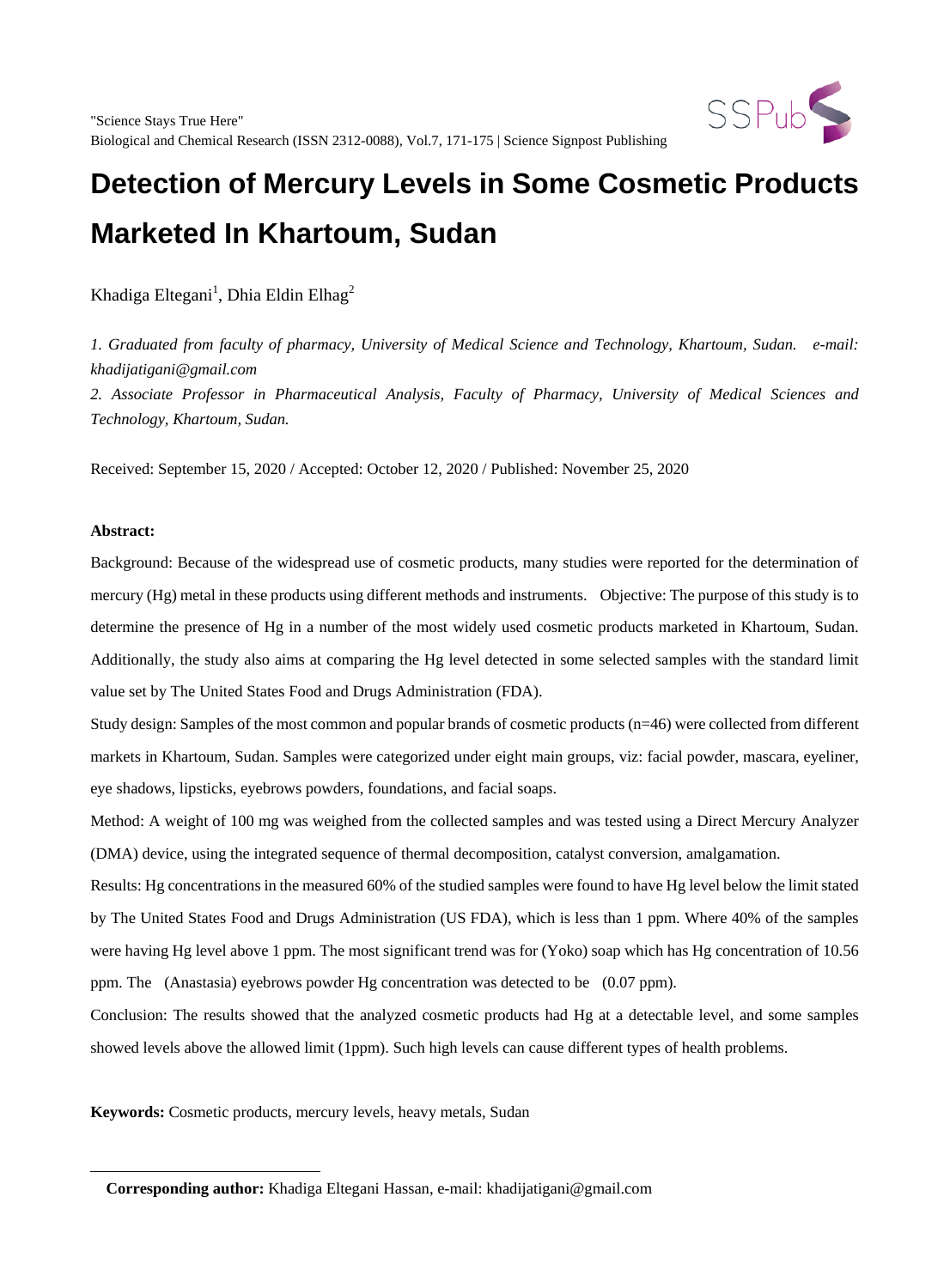

Khadiga Eltegani $^{\rm l}$ , Dhia Eldin Elhag $^{\rm 2}$ 

*1. Graduated from faculty of pharmacy, University of Medical Science and Technology, Khartoum, Sudan. e-mail: khadijatigani@gmail.com*

*2. Associate Professor in Pharmaceutical Analysis, Faculty of Pharmacy, University of Medical Sciences and Technology, Khartoum, Sudan.*

Received: September 15, 2020 / Accepted: October 12, 2020 / Published: November 25, 2020

#### **Abstract:**

 $\overline{a}$ 

Background: Because of the widespread use of cosmetic products, many studies were reported for the determination of mercury (Hg) metal in these products using different methods and instruments. Objective: The purpose of this study is to determine the presence of Hg in a number of the most widely used cosmetic products marketed in Khartoum, Sudan. Additionally, the study also aims at comparing the Hg level detected in some selected samples with the standard limit value set by The United States Food and Drugs Administration (FDA).

Study design: Samples of the most common and popular brands of cosmetic products (n=46) were collected from different markets in Khartoum, Sudan. Samples were categorized under eight main groups, viz: facial powder, mascara, eyeliner, eye shadows, lipsticks, eyebrows powders, foundations, and facial soaps.

Method: A weight of 100 mg was weighed from the collected samples and was tested using a Direct Mercury Analyzer (DMA) device, using the integrated sequence of thermal decomposition, catalyst conversion, amalgamation.

Results: Hg concentrations in the measured 60% of the studied samples were found to have Hg level below the limit stated by The United States Food and Drugs Administration (US FDA), which is less than 1 ppm. Where 40% of the samples were having Hg level above 1 ppm. The most significant trend was for (Yoko) soap which has Hg concentration of 10.56 ppm. The (Anastasia) eyebrows powder Hg concentration was detected to be (0.07 ppm).

Conclusion: The results showed that the analyzed cosmetic products had Hg at a detectable level, and some samples showed levels above the allowed limit (1ppm). Such high levels can cause different types of health problems.

**Keywords:** Cosmetic products, mercury levels, heavy metals, Sudan

**Corresponding author:** Khadiga Eltegani Hassan, e-mail: khadijatigani@gmail.com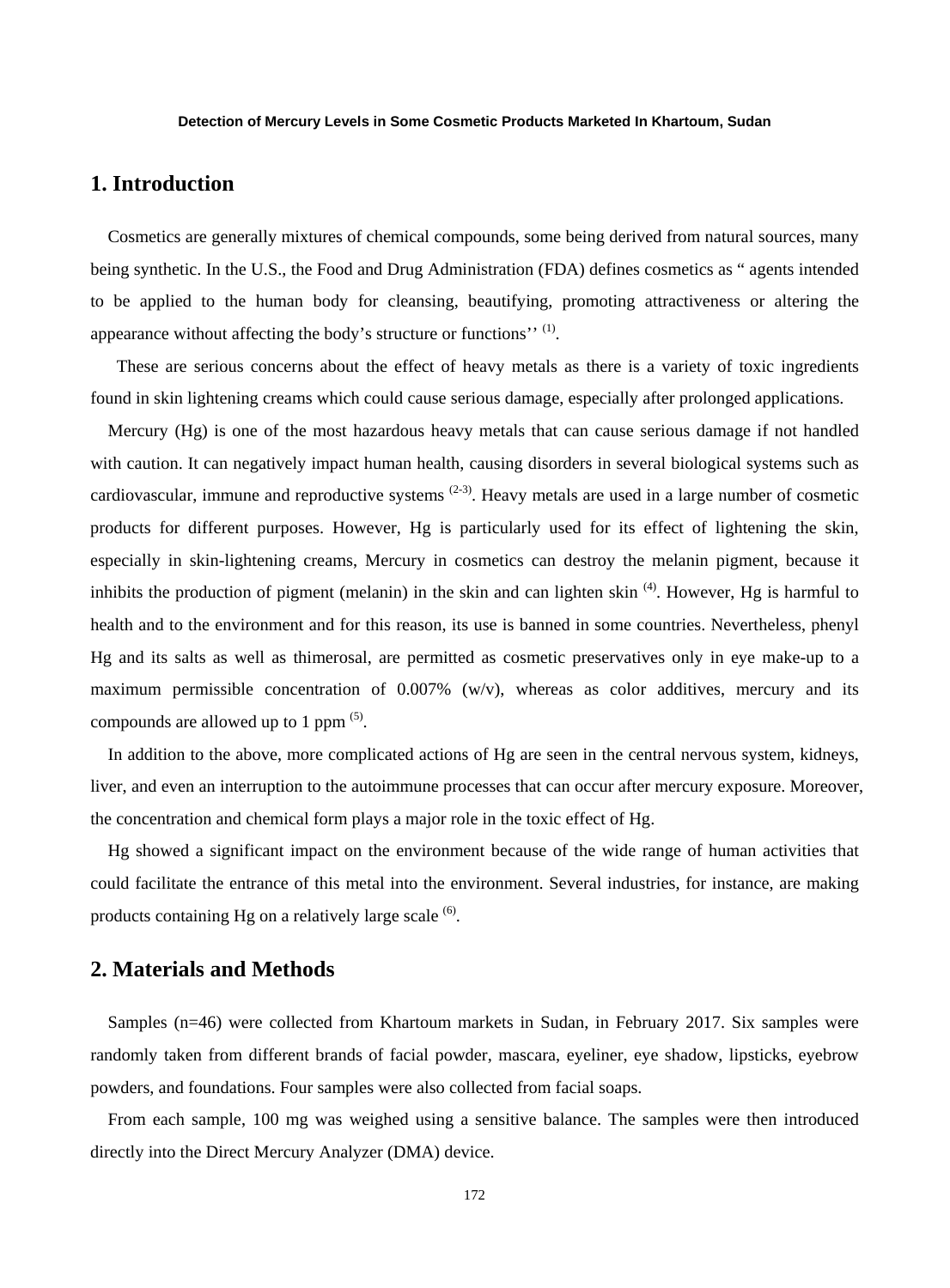# **1. Introduction**

Cosmetics are generally mixtures of chemical compounds, some being derived from natural sources, many being synthetic. In the U.S., the Food and Drug Administration (FDA) defines cosmetics as " agents intended to be applied to the human body for cleansing, beautifying, promoting attractiveness or altering the appearance without affecting the body's structure or functions'' (1).

These are serious concerns about the effect of heavy metals as there is a variety of toxic ingredients found in skin lightening creams which could cause serious damage, especially after prolonged applications.

Mercury (Hg) is one of the most hazardous heavy metals that can cause serious damage if not handled with caution. It can negatively impact human health, causing disorders in several biological systems such as cardiovascular, immune and reproductive systems  $(2-3)$ . Heavy metals are used in a large number of cosmetic products for different purposes. However, Hg is particularly used for its effect of lightening the skin, especially in skin-lightening creams, Mercury in cosmetics can destroy the melanin pigment, because it inhibits the production of pigment (melanin) in the skin and can lighten skin <sup>(4)</sup>. However, Hg is harmful to health and to the environment and for this reason, its use is banned in some countries. Nevertheless, phenyl Hg and its salts as well as thimerosal, are permitted as cosmetic preservatives only in eye make-up to a maximum permissible concentration of  $0.007\%$  (w/v), whereas as color additives, mercury and its compounds are allowed up to 1 ppm (5).

In addition to the above, more complicated actions of Hg are seen in the central nervous system, kidneys, liver, and even an interruption to the autoimmune processes that can occur after mercury exposure. Moreover, the concentration and chemical form plays a major role in the toxic effect of Hg.

Hg showed a significant impact on the environment because of the wide range of human activities that could facilitate the entrance of this metal into the environment. Several industries, for instance, are making products containing Hg on a relatively large scale  $(6)$ .

## **2. Materials and Methods**

Samples (n=46) were collected from Khartoum markets in Sudan, in February 2017. Six samples were randomly taken from different brands of facial powder, mascara, eyeliner, eye shadow, lipsticks, eyebrow powders, and foundations. Four samples were also collected from facial soaps.

From each sample, 100 mg was weighed using a sensitive balance. The samples were then introduced directly into the Direct Mercury Analyzer (DMA) device.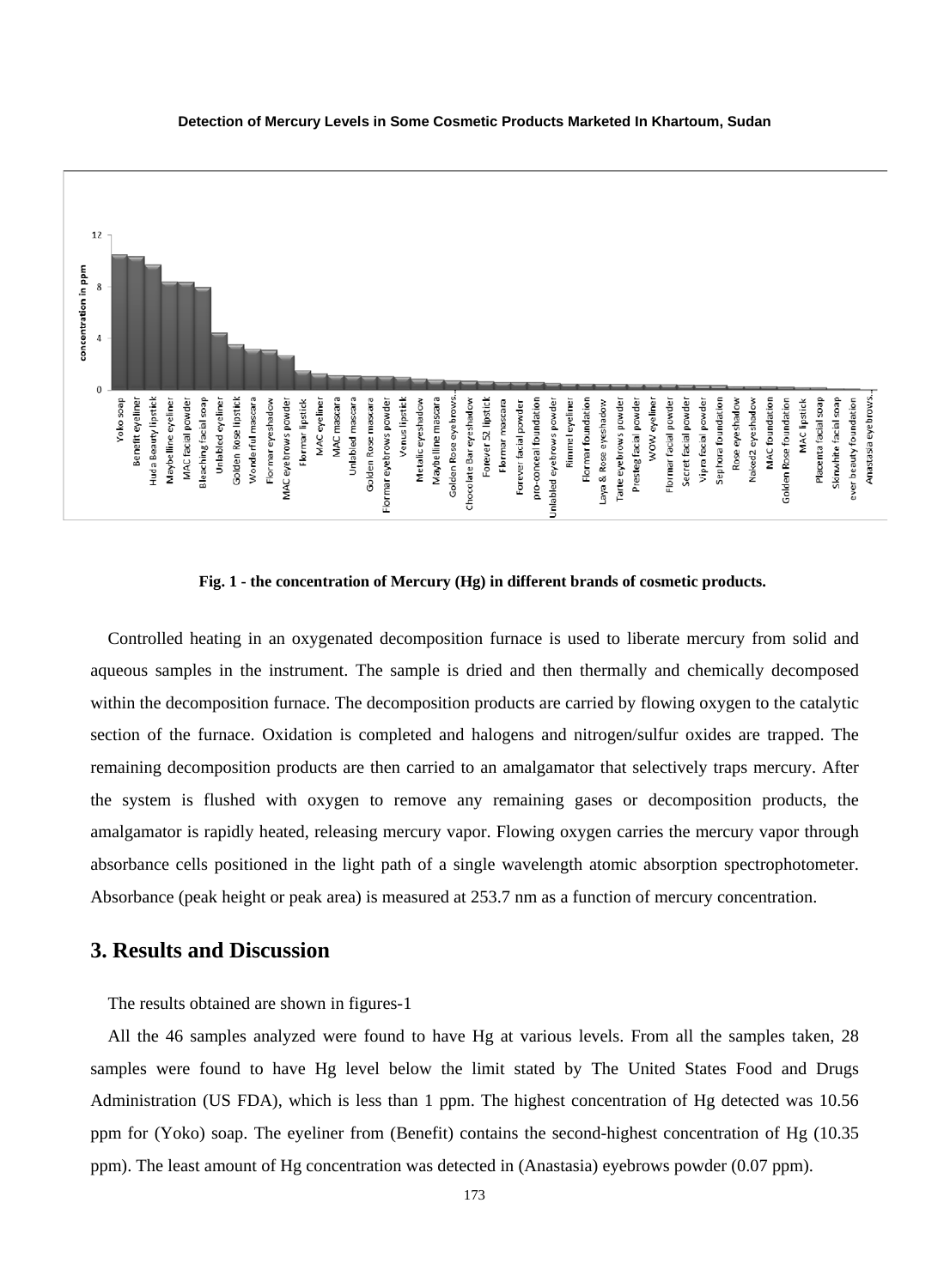

#### **Fig. 1 - the concentration of Mercury (Hg) in different brands of cosmetic products.**

Controlled heating in an oxygenated decomposition furnace is used to liberate mercury from solid and aqueous samples in the instrument. The sample is dried and then thermally and chemically decomposed within the decomposition furnace. The decomposition products are carried by flowing oxygen to the catalytic section of the furnace. Oxidation is completed and halogens and nitrogen/sulfur oxides are trapped. The remaining decomposition products are then carried to an amalgamator that selectively traps mercury. After the system is flushed with oxygen to remove any remaining gases or decomposition products, the amalgamator is rapidly heated, releasing mercury vapor. Flowing oxygen carries the mercury vapor through absorbance cells positioned in the light path of a single wavelength atomic absorption spectrophotometer. Absorbance (peak height or peak area) is measured at 253.7 nm as a function of mercury concentration.

## **3. Results and Discussion**

The results obtained are shown in figures-1

All the 46 samples analyzed were found to have Hg at various levels. From all the samples taken, 28 samples were found to have Hg level below the limit stated by The United States Food and Drugs Administration (US FDA), which is less than 1 ppm. The highest concentration of Hg detected was 10.56 ppm for (Yoko) soap. The eyeliner from (Benefit) contains the second-highest concentration of Hg (10.35 ppm). The least amount of Hg concentration was detected in (Anastasia) eyebrows powder (0.07 ppm).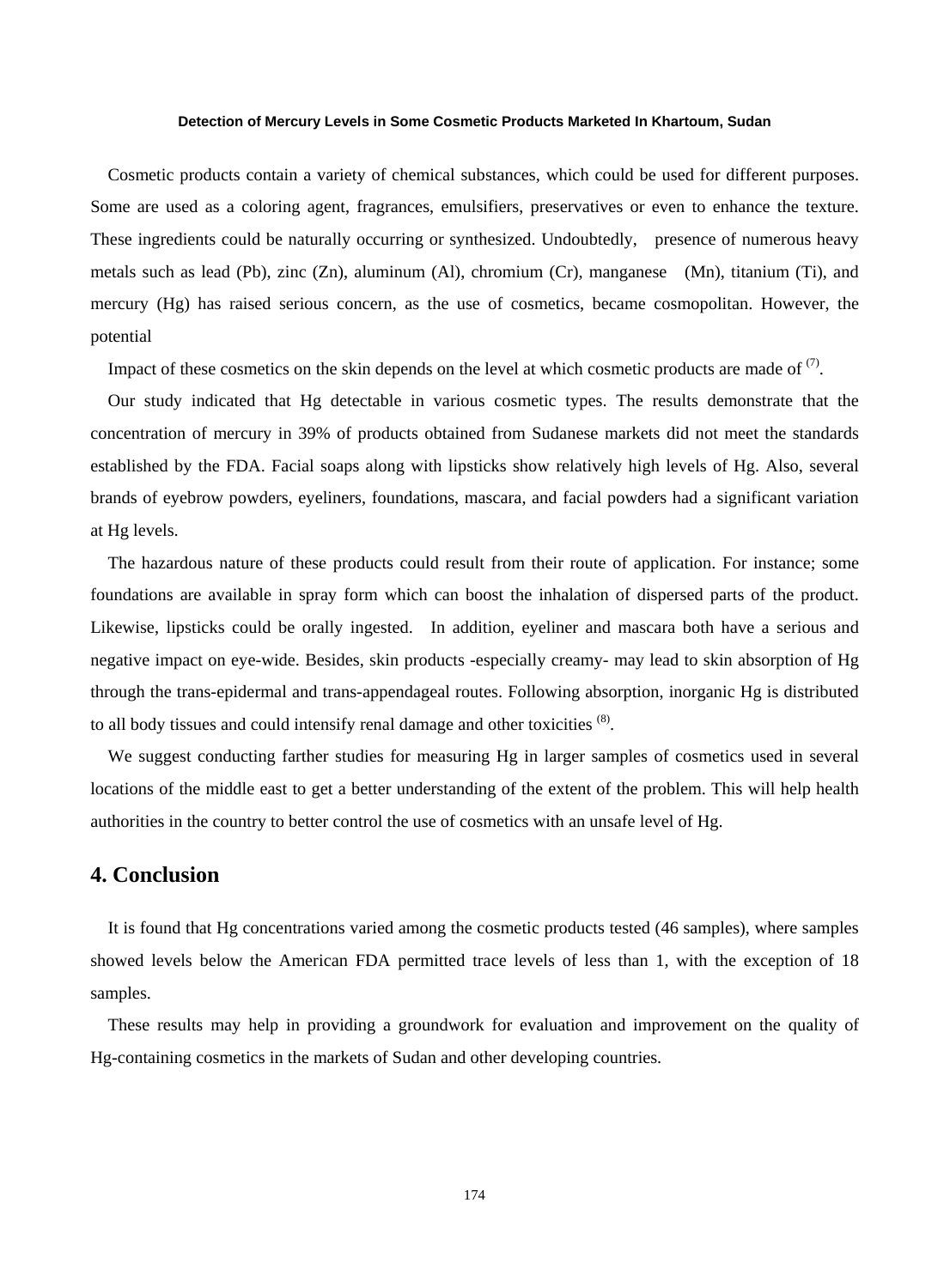Cosmetic products contain a variety of chemical substances, which could be used for different purposes. Some are used as a coloring agent, fragrances, emulsifiers, preservatives or even to enhance the texture. These ingredients could be naturally occurring or synthesized. Undoubtedly, presence of numerous heavy metals such as lead (Pb), zinc (Zn), aluminum (Al), chromium (Cr), manganese (Mn), titanium (Ti), and mercury (Hg) has raised serious concern, as the use of cosmetics, became cosmopolitan. However, the potential

Impact of these cosmetics on the skin depends on the level at which cosmetic products are made of  $(7)$ .

Our study indicated that Hg detectable in various cosmetic types. The results demonstrate that the concentration of mercury in 39% of products obtained from Sudanese markets did not meet the standards established by the FDA. Facial soaps along with lipsticks show relatively high levels of Hg. Also, several brands of eyebrow powders, eyeliners, foundations, mascara, and facial powders had a significant variation at Hg levels.

The hazardous nature of these products could result from their route of application. For instance; some foundations are available in spray form which can boost the inhalation of dispersed parts of the product. Likewise, lipsticks could be orally ingested. In addition, eyeliner and mascara both have a serious and negative impact on eye-wide. Besides, skin products -especially creamy- may lead to skin absorption of Hg through the trans-epidermal and trans-appendageal routes. Following absorption, inorganic Hg is distributed to all body tissues and could intensify renal damage and other toxicities <sup>(8)</sup>.

We suggest conducting farther studies for measuring Hg in larger samples of cosmetics used in several locations of the middle east to get a better understanding of the extent of the problem. This will help health authorities in the country to better control the use of cosmetics with an unsafe level of Hg.

## **4. Conclusion**

It is found that Hg concentrations varied among the cosmetic products tested (46 samples), where samples showed levels below the American FDA permitted trace levels of less than 1, with the exception of 18 samples.

These results may help in providing a groundwork for evaluation and improvement on the quality of Hg-containing cosmetics in the markets of Sudan and other developing countries.